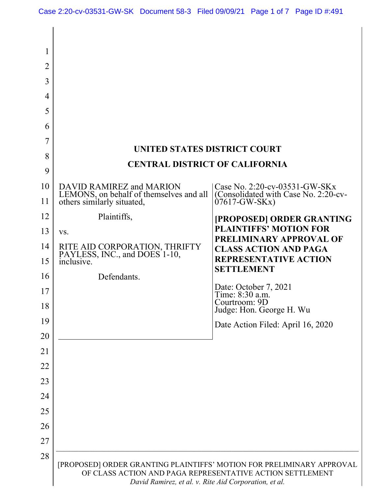| 1              |                                                                                                                                                                                             |                                                          |  |  |
|----------------|---------------------------------------------------------------------------------------------------------------------------------------------------------------------------------------------|----------------------------------------------------------|--|--|
| $\overline{2}$ |                                                                                                                                                                                             |                                                          |  |  |
| 3              |                                                                                                                                                                                             |                                                          |  |  |
| 4              |                                                                                                                                                                                             |                                                          |  |  |
| 5              |                                                                                                                                                                                             |                                                          |  |  |
| 6              |                                                                                                                                                                                             |                                                          |  |  |
| 7              |                                                                                                                                                                                             |                                                          |  |  |
| 8              | UNITED STATES DISTRICT COURT<br><b>CENTRAL DISTRICT OF CALIFORNIA</b>                                                                                                                       |                                                          |  |  |
| 9              |                                                                                                                                                                                             |                                                          |  |  |
| 10             | DAVID RAMIREZ and MARION                                                                                                                                                                    | Case No. 2:20-cv-03531-GW-SKx                            |  |  |
| 11             | LEMONS, on behalf of themselves and all<br>others similarly situated,                                                                                                                       | (Consolidated with Case No. 2:20-cv-<br>$07617-GW-SKx)$  |  |  |
| 12             | Plaintiffs,                                                                                                                                                                                 | [PROPOSED] ORDER GRANTING                                |  |  |
| 13             | VS.                                                                                                                                                                                         | <b>PLAINTIFFS' MOTION FOR</b><br>PRELIMINARY APPROVAL OF |  |  |
| 14             | RITE AID CORPORATION, THRIFTY PAYLESS, INC., and DOES 1-10,                                                                                                                                 | <b>CLASS ACTION AND PAGA</b>                             |  |  |
| 15             | inclusive.                                                                                                                                                                                  | <b>REPRESENTATIVE ACTION</b><br><b>SETTLEMENT</b>        |  |  |
| 16             | Defendants.                                                                                                                                                                                 |                                                          |  |  |
| 17             |                                                                                                                                                                                             | Date: October 7, 2021<br>Time: 8:30 a.m.                 |  |  |
| 18             |                                                                                                                                                                                             | Courtroom: 9D<br>Judge: Hon. George H. Wu                |  |  |
| 19             |                                                                                                                                                                                             | Date Action Filed: April 16, 2020                        |  |  |
| 20             |                                                                                                                                                                                             |                                                          |  |  |
| 21             |                                                                                                                                                                                             |                                                          |  |  |
| 22             |                                                                                                                                                                                             |                                                          |  |  |
| 23             |                                                                                                                                                                                             |                                                          |  |  |
| 24             |                                                                                                                                                                                             |                                                          |  |  |
| 25             |                                                                                                                                                                                             |                                                          |  |  |
| 26             |                                                                                                                                                                                             |                                                          |  |  |
| 27             |                                                                                                                                                                                             |                                                          |  |  |
| 28             | [PROPOSED] ORDER GRANTING PLAINTIFFS' MOTION FOR PRELIMINARY APPROVAL<br>OF CLASS ACTION AND PAGA REPRESENTATIVE ACTION SETTLEMENT<br>David Ramirez, et al. v. Rite Aid Corporation, et al. |                                                          |  |  |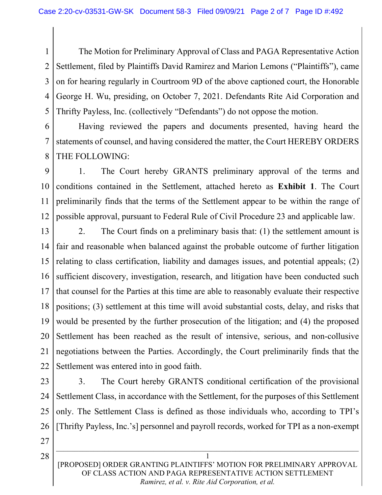1 2 3 4 5 The Motion for Preliminary Approval of Class and PAGA Representative Action Settlement, filed by Plaintiffs David Ramirez and Marion Lemons ("Plaintiffs"), came on for hearing regularly in Courtroom 9D of the above captioned court, the Honorable George H. Wu, presiding, on October 7, 2021. Defendants Rite Aid Corporation and Thrifty Payless, Inc. (collectively "Defendants") do not oppose the motion.

6 7 8 Having reviewed the papers and documents presented, having heard the statements of counsel, and having considered the matter, the Court HEREBY ORDERS THE FOLLOWING:

9 10 11 12 1. The Court hereby GRANTS preliminary approval of the terms and conditions contained in the Settlement, attached hereto as Exhibit 1. The Court preliminarily finds that the terms of the Settlement appear to be within the range of possible approval, pursuant to Federal Rule of Civil Procedure 23 and applicable law.

13 14 15 16 17 18 19 20 21 22 2. The Court finds on a preliminary basis that: (1) the settlement amount is fair and reasonable when balanced against the probable outcome of further litigation relating to class certification, liability and damages issues, and potential appeals; (2) sufficient discovery, investigation, research, and litigation have been conducted such that counsel for the Parties at this time are able to reasonably evaluate their respective positions; (3) settlement at this time will avoid substantial costs, delay, and risks that would be presented by the further prosecution of the litigation; and (4) the proposed Settlement has been reached as the result of intensive, serious, and non-collusive negotiations between the Parties. Accordingly, the Court preliminarily finds that the Settlement was entered into in good faith.

23 24 25 26 3. The Court hereby GRANTS conditional certification of the provisional Settlement Class, in accordance with the Settlement, for the purposes of this Settlement only. The Settlement Class is defined as those individuals who, according to TPI's [Thrifty Payless, Inc.'s] personnel and payroll records, worked for TPI as a non-exempt

27

1

28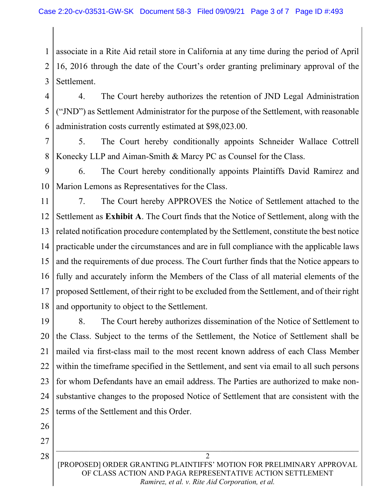1 2 3 associate in a Rite Aid retail store in California at any time during the period of April 16, 2016 through the date of the Court's order granting preliminary approval of the Settlement.

4 5 6 4. The Court hereby authorizes the retention of JND Legal Administration ("JND") as Settlement Administrator for the purpose of the Settlement, with reasonable administration costs currently estimated at \$98,023.00.

7 8 5. The Court hereby conditionally appoints Schneider Wallace Cottrell Konecky LLP and Aiman-Smith & Marcy PC as Counsel for the Class.

9 10 6. The Court hereby conditionally appoints Plaintiffs David Ramirez and Marion Lemons as Representatives for the Class.

11 12 13 14 15 16 17 18 7. The Court hereby APPROVES the Notice of Settlement attached to the Settlement as Exhibit A. The Court finds that the Notice of Settlement, along with the related notification procedure contemplated by the Settlement, constitute the best notice practicable under the circumstances and are in full compliance with the applicable laws and the requirements of due process. The Court further finds that the Notice appears to fully and accurately inform the Members of the Class of all material elements of the proposed Settlement, of their right to be excluded from the Settlement, and of their right and opportunity to object to the Settlement.

19 20 21 22 23 24 25 8. The Court hereby authorizes dissemination of the Notice of Settlement to the Class. Subject to the terms of the Settlement, the Notice of Settlement shall be mailed via first-class mail to the most recent known address of each Class Member within the timeframe specified in the Settlement, and sent via email to all such persons for whom Defendants have an email address. The Parties are authorized to make nonsubstantive changes to the proposed Notice of Settlement that are consistent with the terms of the Settlement and this Order.

- 26
- 27

2 [PROPOSED] ORDER GRANTING PLAINTIFFS' MOTION FOR PRELIMINARY APPROVAL OF CLASS ACTION AND PAGA REPRESENTATIVE ACTION SETTLEMENT Ramirez, et al. v. Rite Aid Corporation, et al.

28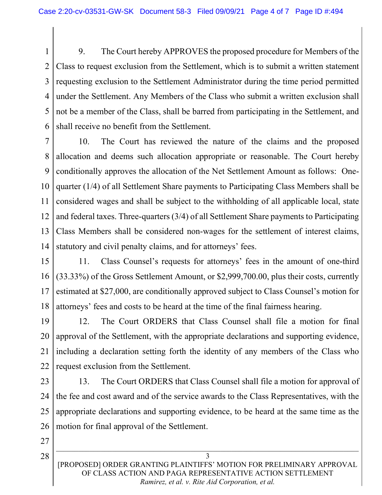1 2 3 4 5 6 9. The Court hereby APPROVES the proposed procedure for Members of the Class to request exclusion from the Settlement, which is to submit a written statement requesting exclusion to the Settlement Administrator during the time period permitted under the Settlement. Any Members of the Class who submit a written exclusion shall not be a member of the Class, shall be barred from participating in the Settlement, and shall receive no benefit from the Settlement.

7 8 9 10 11 12 13 14 10. The Court has reviewed the nature of the claims and the proposed allocation and deems such allocation appropriate or reasonable. The Court hereby conditionally approves the allocation of the Net Settlement Amount as follows: Onequarter (1/4) of all Settlement Share payments to Participating Class Members shall be considered wages and shall be subject to the withholding of all applicable local, state and federal taxes. Three-quarters (3/4) of all Settlement Share payments to Participating Class Members shall be considered non-wages for the settlement of interest claims, statutory and civil penalty claims, and for attorneys' fees.

15 16 17 18 11. Class Counsel's requests for attorneys' fees in the amount of one-third (33.33%) of the Gross Settlement Amount, or \$2,999,700.00, plus their costs, currently estimated at \$27,000, are conditionally approved subject to Class Counsel's motion for attorneys' fees and costs to be heard at the time of the final fairness hearing.

19 20 21 22 12. The Court ORDERS that Class Counsel shall file a motion for final approval of the Settlement, with the appropriate declarations and supporting evidence, including a declaration setting forth the identity of any members of the Class who request exclusion from the Settlement.

- 23 24 25 26 13. The Court ORDERS that Class Counsel shall file a motion for approval of the fee and cost award and of the service awards to the Class Representatives, with the appropriate declarations and supporting evidence, to be heard at the same time as the motion for final approval of the Settlement.
- 27

28

3 [PROPOSED] ORDER GRANTING PLAINTIFFS' MOTION FOR PRELIMINARY APPROVAL OF CLASS ACTION AND PAGA REPRESENTATIVE ACTION SETTLEMENT Ramirez, et al. v. Rite Aid Corporation, et al.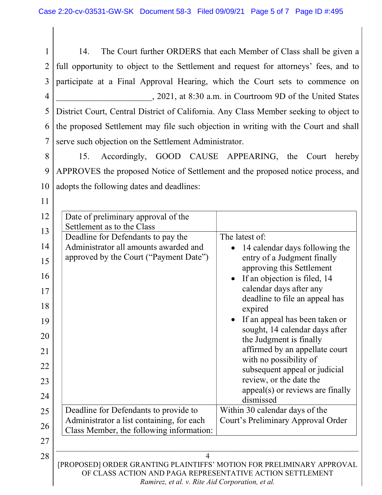1 2 3 4 5 6 7 14. The Court further ORDERS that each Member of Class shall be given a full opportunity to object to the Settlement and request for attorneys' fees, and to participate at a Final Approval Hearing, which the Court sets to commence on \_\_\_\_\_\_\_\_\_\_\_\_\_\_\_\_\_\_\_\_\_\_, 2021, at 8:30 a.m. in Courtroom 9D of the United States District Court, Central District of California. Any Class Member seeking to object to the proposed Settlement may file such objection in writing with the Court and shall serve such objection on the Settlement Administrator.

8 9 10 15. Accordingly, GOOD CAUSE APPEARING, the Court hereby APPROVES the proposed Notice of Settlement and the proposed notice process, and adopts the following dates and deadlines:

11

| 12 | Date of preliminary approval of the                                                                                                |                                                          |  |  |  |
|----|------------------------------------------------------------------------------------------------------------------------------------|----------------------------------------------------------|--|--|--|
| 13 | Settlement as to the Class                                                                                                         |                                                          |  |  |  |
|    | Deadline for Defendants to pay the                                                                                                 | The latest of:                                           |  |  |  |
| 14 | Administrator all amounts awarded and                                                                                              | 14 calendar days following the                           |  |  |  |
| 15 | approved by the Court ("Payment Date")                                                                                             | entry of a Judgment finally<br>approving this Settlement |  |  |  |
| 16 |                                                                                                                                    | If an objection is filed, 14                             |  |  |  |
| 17 |                                                                                                                                    | calendar days after any                                  |  |  |  |
| 18 |                                                                                                                                    | deadline to file an appeal has<br>expired                |  |  |  |
| 19 |                                                                                                                                    | If an appeal has been taken or                           |  |  |  |
| 20 |                                                                                                                                    | sought, 14 calendar days after                           |  |  |  |
|    |                                                                                                                                    | the Judgment is finally                                  |  |  |  |
| 21 |                                                                                                                                    | affirmed by an appellate court                           |  |  |  |
| 22 |                                                                                                                                    | with no possibility of<br>subsequent appeal or judicial  |  |  |  |
| 23 |                                                                                                                                    | review, or the date the                                  |  |  |  |
| 24 |                                                                                                                                    | $appeal(s)$ or reviews are finally                       |  |  |  |
|    |                                                                                                                                    | dismissed                                                |  |  |  |
| 25 | Deadline for Defendants to provide to                                                                                              | Within 30 calendar days of the                           |  |  |  |
| 26 | Administrator a list containing, for each                                                                                          | Court's Preliminary Approval Order                       |  |  |  |
|    | Class Member, the following information:                                                                                           |                                                          |  |  |  |
| 27 |                                                                                                                                    |                                                          |  |  |  |
| 28 | $\overline{4}$                                                                                                                     |                                                          |  |  |  |
|    | [PROPOSED] ORDER GRANTING PLAINTIFFS' MOTION FOR PRELIMINARY APPROVAL<br>OF CLASS ACTION AND PAGA REPRESENTATIVE ACTION SETTLEMENT |                                                          |  |  |  |
|    |                                                                                                                                    |                                                          |  |  |  |
|    | Ramirez, et al. v. Rite Aid Corporation, et al.                                                                                    |                                                          |  |  |  |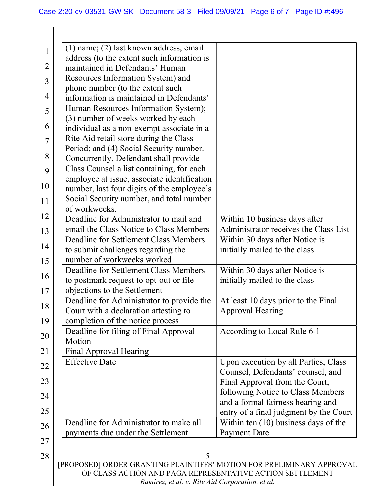| 1              |                                                           | $(1)$ name; $(2)$ last known address, email                                      |                                        |  |  |
|----------------|-----------------------------------------------------------|----------------------------------------------------------------------------------|----------------------------------------|--|--|
|                |                                                           | address (to the extent such information is                                       |                                        |  |  |
| $\overline{2}$ |                                                           | maintained in Defendants' Human                                                  |                                        |  |  |
| 3              |                                                           | Resources Information System) and                                                |                                        |  |  |
|                |                                                           | phone number (to the extent such                                                 |                                        |  |  |
| 4              |                                                           | information is maintained in Defendants'                                         |                                        |  |  |
| 5              |                                                           | Human Resources Information System);                                             |                                        |  |  |
| 6              |                                                           | (3) number of weeks worked by each                                               |                                        |  |  |
|                |                                                           | individual as a non-exempt associate in a                                        |                                        |  |  |
| 7              |                                                           | Rite Aid retail store during the Class                                           |                                        |  |  |
| 8              |                                                           | Period; and (4) Social Security number.<br>Concurrently, Defendant shall provide |                                        |  |  |
|                |                                                           | Class Counsel a list containing, for each                                        |                                        |  |  |
| 9              |                                                           | employee at issue, associate identification                                      |                                        |  |  |
| 10             |                                                           | number, last four digits of the employee's                                       |                                        |  |  |
| 11             |                                                           | Social Security number, and total number                                         |                                        |  |  |
|                |                                                           | of workweeks.                                                                    |                                        |  |  |
| 12             |                                                           | Deadline for Administrator to mail and                                           | Within 10 business days after          |  |  |
| 13             |                                                           | email the Class Notice to Class Members                                          | Administrator receives the Class List  |  |  |
| 14             |                                                           | Deadline for Settlement Class Members                                            | Within 30 days after Notice is         |  |  |
|                |                                                           | to submit challenges regarding the                                               | initially mailed to the class          |  |  |
| 15             |                                                           | number of workweeks worked                                                       |                                        |  |  |
| 16             |                                                           | Deadline for Settlement Class Members                                            | Within 30 days after Notice is         |  |  |
|                |                                                           | to postmark request to opt-out or file                                           | initially mailed to the class          |  |  |
| 17             |                                                           | objections to the Settlement                                                     |                                        |  |  |
| 18             |                                                           | Deadline for Administrator to provide the                                        | At least 10 days prior to the Final    |  |  |
|                |                                                           | Court with a declaration attesting to<br>completion of the notice process        | <b>Approval Hearing</b>                |  |  |
| 19             |                                                           | Deadline for filing of Final Approval                                            | According to Local Rule 6-1            |  |  |
| 20             |                                                           | Motion                                                                           |                                        |  |  |
| 21             |                                                           | Final Approval Hearing                                                           |                                        |  |  |
|                |                                                           | <b>Effective Date</b>                                                            | Upon execution by all Parties, Class   |  |  |
| 22             |                                                           |                                                                                  | Counsel, Defendants' counsel, and      |  |  |
| 23             |                                                           |                                                                                  | Final Approval from the Court,         |  |  |
| 24             |                                                           |                                                                                  | following Notice to Class Members      |  |  |
|                |                                                           |                                                                                  | and a formal fairness hearing and      |  |  |
| 25             |                                                           |                                                                                  | entry of a final judgment by the Court |  |  |
| 26             |                                                           | Deadline for Administrator to make all                                           | Within ten $(10)$ business days of the |  |  |
| 27             |                                                           | payments due under the Settlement                                                | <b>Payment Date</b>                    |  |  |
|                |                                                           |                                                                                  |                                        |  |  |
| 28             |                                                           | 5<br>[PROPOSED] ORDER GRANTING PLAINTIFFS' MOTION FOR PRELIMINARY APPROVAL       |                                        |  |  |
|                | OF CLASS ACTION AND PAGA REPRESENTATIVE ACTION SETTLEMENT |                                                                                  |                                        |  |  |
|                | Ramirez, et al. v. Rite Aid Corporation, et al.           |                                                                                  |                                        |  |  |